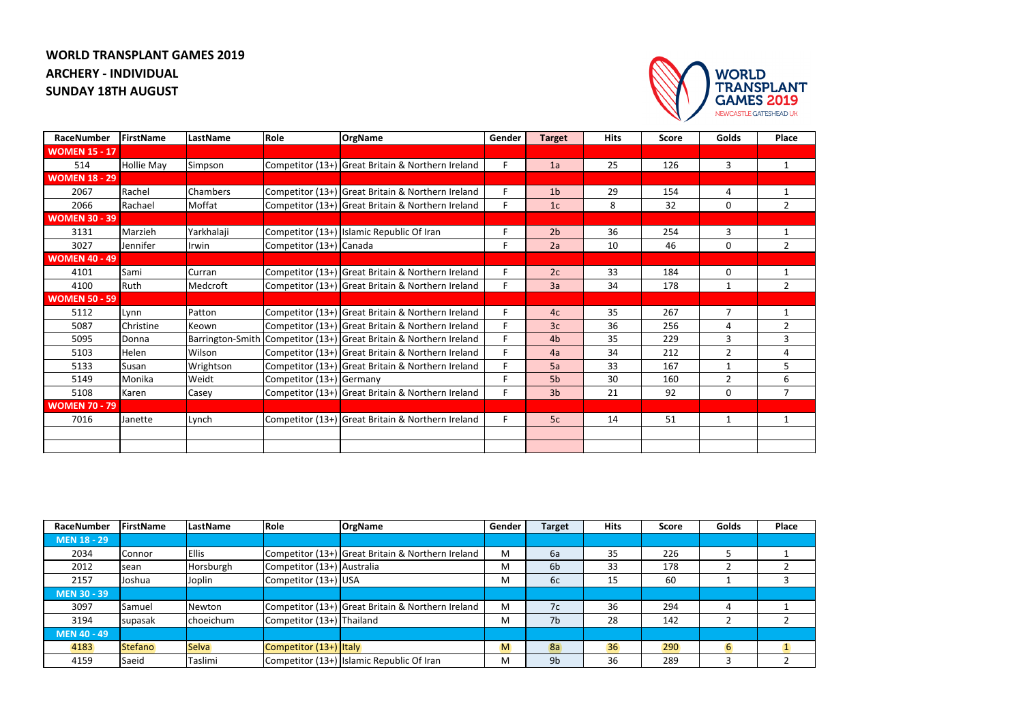## **WORLD TRANSPLANT GAMES 2019 ARCHERY - INDIVIDUAL SUNDAY 18TH AUGUST**



| RaceNumber           | FirstName         | LastName   | Role                     | <b>OrgName</b>                                                     | Gender | <b>Target</b>  | <b>Hits</b> | <b>Score</b> | Golds          | <b>Place</b>   |
|----------------------|-------------------|------------|--------------------------|--------------------------------------------------------------------|--------|----------------|-------------|--------------|----------------|----------------|
| <b>WOMEN 15 - 17</b> |                   |            |                          |                                                                    |        |                |             |              |                |                |
| 514                  | <b>Hollie May</b> | Simpson    |                          | Competitor (13+) Great Britain & Northern Ireland                  | F      | 1a             | 25          | 126          | $\overline{3}$ | $\mathbf{1}$   |
| <b>WOMEN 18 - 29</b> |                   |            |                          |                                                                    |        |                |             |              |                |                |
| 2067                 | Rachel            | Chambers   |                          | Competitor (13+) Great Britain & Northern Ireland                  | F      | 1 <sub>b</sub> | 29          | 154          | 4              | 1              |
| 2066                 | Rachael           | Moffat     |                          | Competitor (13+) Great Britain & Northern Ireland                  | F      | 1 <sub>c</sub> | 8           | 32           | $\mathbf 0$    | $\overline{2}$ |
| <b>WOMEN 30 - 39</b> |                   |            |                          |                                                                    |        |                |             |              |                |                |
| 3131                 | Marzieh           | Yarkhalaji |                          | Competitor (13+) Islamic Republic Of Iran                          | F      | 2 <sub>b</sub> | 36          | 254          | 3              | 1              |
| 3027                 | Jennifer          | Irwin      | Competitor (13+) Canada  |                                                                    | F      | 2a             | 10          | 46           | $\mathbf 0$    | $\overline{2}$ |
| <b>WOMEN 40 - 49</b> |                   |            |                          |                                                                    |        |                |             |              |                |                |
| 4101                 | Sami              | Curran     |                          | Competitor (13+) Great Britain & Northern Ireland                  | F      | 2c             | 33          | 184          | $\mathbf{0}$   | 1              |
| 4100                 | Ruth              | Medcroft   |                          | Competitor (13+) Great Britain & Northern Ireland                  | F      | 3a             | 34          | 178          | $\mathbf{1}$   | $\overline{2}$ |
| <b>WOMEN 50 - 59</b> |                   |            |                          |                                                                    |        |                |             |              |                |                |
| 5112                 | Lynn              | Patton     |                          | Competitor (13+) Great Britain & Northern Ireland                  | F      | 4c             | 35          | 267          | $\overline{7}$ | $\mathbf{1}$   |
| 5087                 | Christine         | Keown      |                          | Competitor (13+) Great Britain & Northern Ireland                  | F      | 3 <sub>c</sub> | 36          | 256          | 4              | $\overline{2}$ |
| 5095                 | Donna             |            |                          | Barrington-Smith Competitor (13+) Great Britain & Northern Ireland | F      | 4b             | 35          | 229          | 3              | 3              |
| 5103                 | Helen             | Wilson     |                          | Competitor (13+) Great Britain & Northern Ireland                  | F      | 4a             | 34          | 212          | $\overline{2}$ | 4              |
| 5133                 | Susan             | Wrightson  |                          | Competitor (13+) Great Britain & Northern Ireland                  | E      | 5a             | 33          | 167          | $\mathbf 1$    | 5              |
| 5149                 | Monika            | Weidt      | Competitor (13+) Germany |                                                                    | F      | 5 <sub>b</sub> | 30          | 160          | $\overline{2}$ | 6              |
| 5108                 | Karen             | Casey      |                          | Competitor (13+) Great Britain & Northern Ireland                  | F      | 3 <sub>b</sub> | 21          | 92           | $\mathbf 0$    | $\overline{7}$ |
| <b>WOMEN 70 - 79</b> |                   |            |                          |                                                                    |        |                |             |              |                |                |
| 7016                 | Janette           | Lynch      |                          | Competitor (13+) Great Britain & Northern Ireland                  | F      | 5c             | 14          | 51           | $\mathbf{1}$   | 1              |
|                      |                   |            |                          |                                                                    |        |                |             |              |                |                |
|                      |                   |            |                          |                                                                    |        |                |             |              |                |                |

| RaceNumber         | FirstName      | LastName     | Role                       | <b>OrgName</b>                                    | Gender | <b>Target</b>  | <b>Hits</b> | <b>Score</b> | <b>Golds</b> | <b>Place</b> |
|--------------------|----------------|--------------|----------------------------|---------------------------------------------------|--------|----------------|-------------|--------------|--------------|--------------|
| <b>MEN 18 - 29</b> |                |              |                            |                                                   |        |                |             |              |              |              |
| 2034               | Connor         | <b>Ellis</b> |                            | Competitor (13+) Great Britain & Northern Ireland | M      | 6a             | 35          | 226          |              |              |
| 2012               | sean           | Horsburgh    | Competitor (13+) Australia |                                                   | M      | 6 <sub>b</sub> | 33          | 178          |              |              |
| 2157               | Joshua         | Joplin       | Competitor (13+) USA       |                                                   | M      | 6c             | 15          | 60           |              |              |
| <b>MEN 30 - 39</b> |                |              |                            |                                                   |        |                |             |              |              |              |
| 3097               | Samuel         | Newton       |                            | Competitor (13+) Great Britain & Northern Ireland | M      | 7c             | 36          | 294          | 4            |              |
| 3194               | supasak        | choeichum    | Competitor (13+) Thailand  |                                                   | M      | 7b             | 28          | 142          |              |              |
| <b>MEN 40 - 49</b> |                |              |                            |                                                   |        |                |             |              |              |              |
| 4183               | <b>Stefano</b> | <b>Selva</b> | Competitor (13+) Italy     |                                                   | M      | 8a             | 36          | 290          | 6            |              |
| 4159               | Saeid          | Taslimi      |                            | Competitor (13+) Islamic Republic Of Iran         | M      | 9 <sub>b</sub> | 36          | 289          |              |              |

| <b>Place</b> |  |  |  |  |
|--------------|--|--|--|--|
|              |  |  |  |  |
| 1            |  |  |  |  |
| 2            |  |  |  |  |
| 3            |  |  |  |  |
|              |  |  |  |  |
| 1            |  |  |  |  |
| 2            |  |  |  |  |
|              |  |  |  |  |
| $\mathbf{1}$ |  |  |  |  |
| 2            |  |  |  |  |